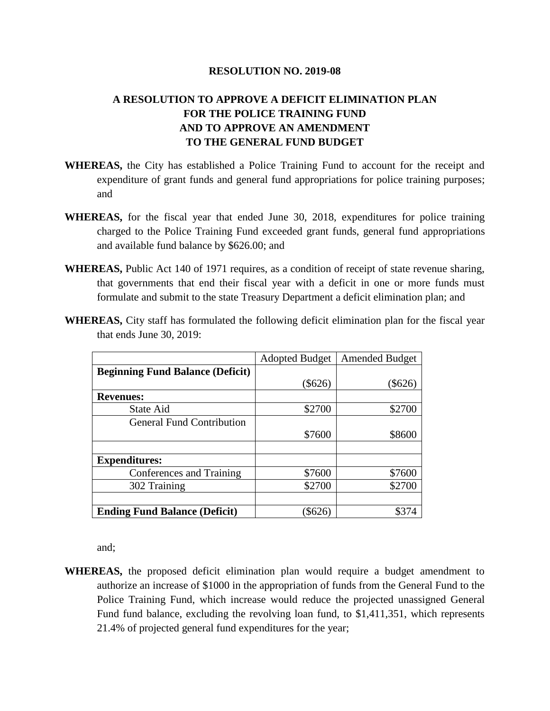## **RESOLUTION NO. 2019-08**

## **A RESOLUTION TO APPROVE A DEFICIT ELIMINATION PLAN FOR THE POLICE TRAINING FUND AND TO APPROVE AN AMENDMENT TO THE GENERAL FUND BUDGET**

- **WHEREAS,** the City has established a Police Training Fund to account for the receipt and expenditure of grant funds and general fund appropriations for police training purposes; and
- **WHEREAS,** for the fiscal year that ended June 30, 2018, expenditures for police training charged to the Police Training Fund exceeded grant funds, general fund appropriations and available fund balance by \$626.00; and
- **WHEREAS,** Public Act 140 of 1971 requires, as a condition of receipt of state revenue sharing, that governments that end their fiscal year with a deficit in one or more funds must formulate and submit to the state Treasury Department a deficit elimination plan; and

|                                         | <b>Adopted Budget</b> | <b>Amended Budget</b> |
|-----------------------------------------|-----------------------|-----------------------|
| <b>Beginning Fund Balance (Deficit)</b> |                       |                       |
|                                         | $(\$626)$             | \$626)                |
| <b>Revenues:</b>                        |                       |                       |
| State Aid                               | \$2700                | \$2700                |
| <b>General Fund Contribution</b>        |                       |                       |
|                                         | \$7600                | \$8600                |
| <b>Expenditures:</b>                    |                       |                       |
| Conferences and Training                | \$7600                | \$7600                |
| 302 Training                            | \$2700                | \$2700                |
| <b>Ending Fund Balance (Deficit)</b>    | \$626                 |                       |

**WHEREAS,** City staff has formulated the following deficit elimination plan for the fiscal year that ends June 30, 2019:

and;

**WHEREAS,** the proposed deficit elimination plan would require a budget amendment to authorize an increase of \$1000 in the appropriation of funds from the General Fund to the Police Training Fund, which increase would reduce the projected unassigned General Fund fund balance, excluding the revolving loan fund, to \$1,411,351, which represents 21.4% of projected general fund expenditures for the year;